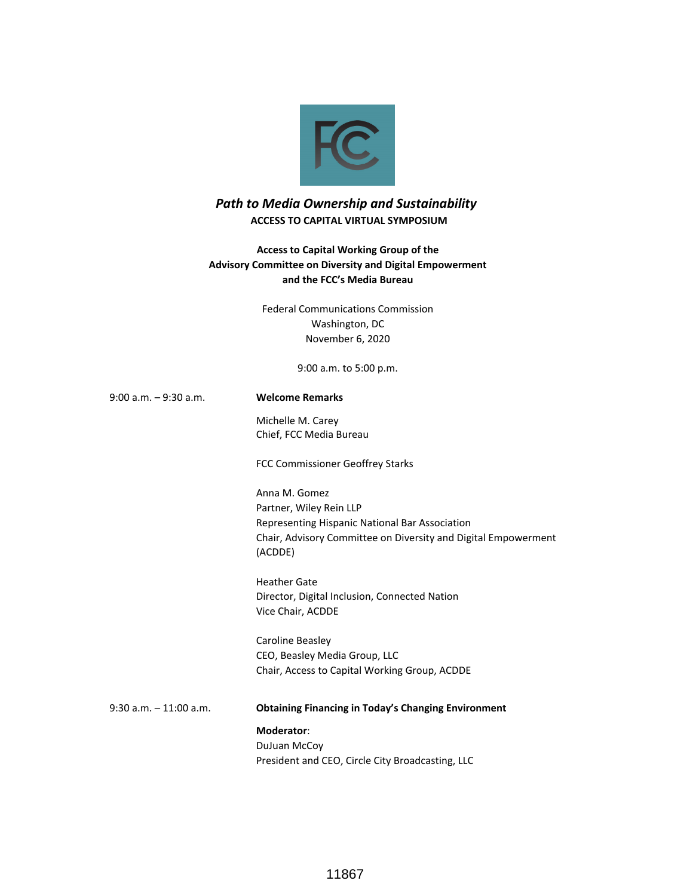

# *Path to Media Ownership and Sustainability*   **ACCESS TO CAPITAL VIRTUAL SYMPOSIUM**

# **Access to Capital Working Group of the Advisory Committee on Diversity and Digital Empowerment and the FCC's Media Bureau**

Federal Communications Commission Washington, DC November 6, 2020

9:00 a.m. to 5:00 p.m.

9:00 a.m. – 9:30 a.m. **Welcome Remarks**

Michelle M. Carey Chief, FCC Media Bureau

FCC Commissioner Geoffrey Starks

Anna M. Gomez Partner, Wiley Rein LLP Representing Hispanic National Bar Association Chair, Advisory Committee on Diversity and Digital Empowerment (ACDDE)

Heather Gate Director, Digital Inclusion, Connected Nation Vice Chair, ACDDE

Caroline Beasley CEO, Beasley Media Group, LLC Chair, Access to Capital Working Group, ACDDE

9:30 a.m. – 11:00 a.m. **Obtaining Financing in Today's Changing Environment Moderator**: DuJuan McCoy

President and CEO, Circle City Broadcasting, LLC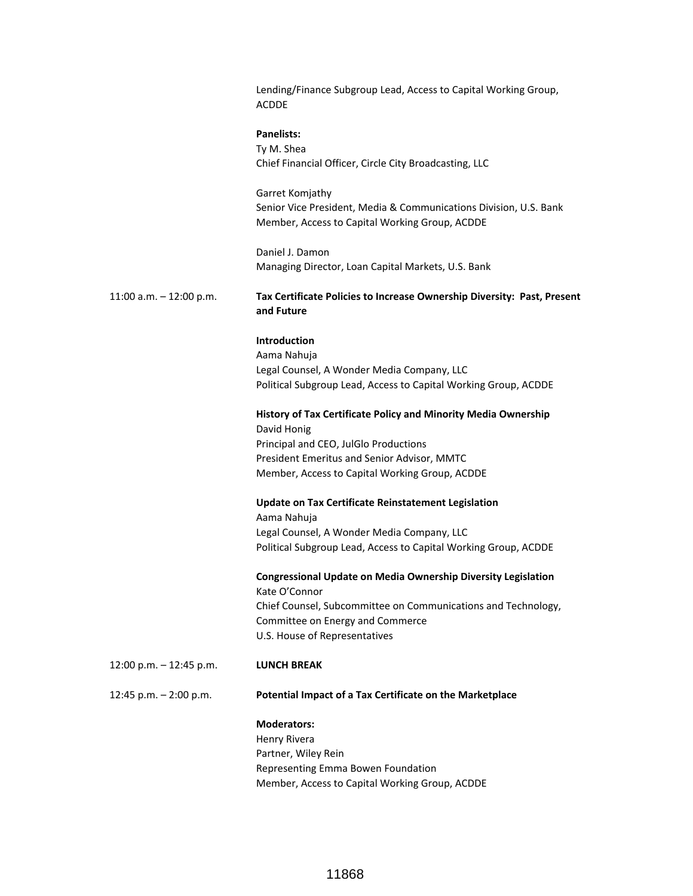|                           | Lending/Finance Subgroup Lead, Access to Capital Working Group,<br><b>ACDDE</b>                                                        |
|---------------------------|----------------------------------------------------------------------------------------------------------------------------------------|
|                           | <b>Panelists:</b><br>Ty M. Shea<br>Chief Financial Officer, Circle City Broadcasting, LLC                                              |
|                           | Garret Komjathy<br>Senior Vice President, Media & Communications Division, U.S. Bank<br>Member, Access to Capital Working Group, ACDDE |
|                           | Daniel J. Damon<br>Managing Director, Loan Capital Markets, U.S. Bank                                                                  |
| 11:00 a.m. $-$ 12:00 p.m. | Tax Certificate Policies to Increase Ownership Diversity: Past, Present<br>and Future                                                  |
|                           | <b>Introduction</b>                                                                                                                    |
|                           | Aama Nahuja                                                                                                                            |
|                           | Legal Counsel, A Wonder Media Company, LLC                                                                                             |
|                           | Political Subgroup Lead, Access to Capital Working Group, ACDDE                                                                        |
|                           | History of Tax Certificate Policy and Minority Media Ownership<br>David Honig                                                          |
|                           | Principal and CEO, JulGlo Productions                                                                                                  |
|                           | President Emeritus and Senior Advisor, MMTC                                                                                            |
|                           | Member, Access to Capital Working Group, ACDDE                                                                                         |
|                           | <b>Update on Tax Certificate Reinstatement Legislation</b><br>Aama Nahuja                                                              |
|                           | Legal Counsel, A Wonder Media Company, LLC                                                                                             |
|                           | Political Subgroup Lead, Access to Capital Working Group, ACDDE                                                                        |
|                           | Congressional Update on Media Ownership Diversity Legislation<br>Kate O'Connor                                                         |
|                           | Chief Counsel, Subcommittee on Communications and Technology,                                                                          |
|                           | Committee on Energy and Commerce                                                                                                       |
|                           | U.S. House of Representatives                                                                                                          |
| 12:00 p.m. - 12:45 p.m.   | <b>LUNCH BREAK</b>                                                                                                                     |
| 12:45 p.m. - 2:00 p.m.    | Potential Impact of a Tax Certificate on the Marketplace                                                                               |
|                           | <b>Moderators:</b>                                                                                                                     |
|                           | Henry Rivera                                                                                                                           |
|                           | Partner, Wiley Rein                                                                                                                    |
|                           | Representing Emma Bowen Foundation                                                                                                     |
|                           | Member, Access to Capital Working Group, ACDDE                                                                                         |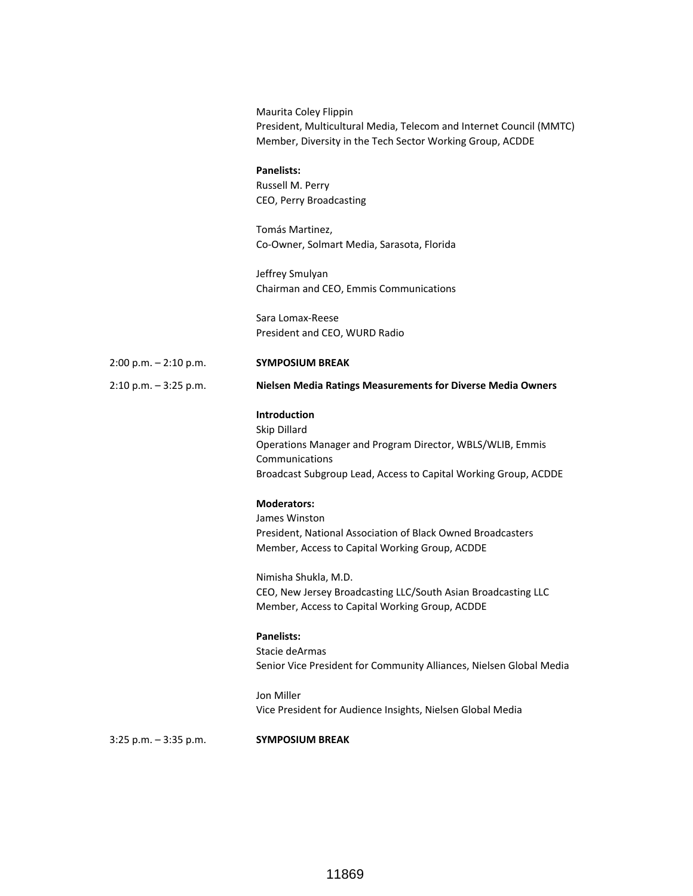Maurita Coley Flippin President, Multicultural Media, Telecom and Internet Council (MMTC) Member, Diversity in the Tech Sector Working Group, ACDDE

### **Panelists:**

Russell M. Perry CEO, Perry Broadcasting

Tomás Martinez, Co-Owner, Solmart Media, Sarasota, Florida

Jeffrey Smulyan Chairman and CEO, Emmis Communications

Sara Lomax-Reese President and CEO, WURD Radio

## 2:00 p.m. – 2:10 p.m. **SYMPOSIUM BREAK**

2:10 p.m. – 3:25 p.m. **Nielsen Media Ratings Measurements for Diverse Media Owners**

### **Introduction**

Skip Dillard Operations Manager and Program Director, WBLS/WLIB, Emmis Communications Broadcast Subgroup Lead, Access to Capital Working Group, ACDDE

## **Moderators:**

James Winston President, National Association of Black Owned Broadcasters Member, Access to Capital Working Group, ACDDE

Nimisha Shukla, M.D. CEO, New Jersey Broadcasting LLC/South Asian Broadcasting LLC Member, Access to Capital Working Group, ACDDE

#### **Panelists:**

Stacie deArmas Senior Vice President for Community Alliances, Nielsen Global Media

Jon Miller Vice President for Audience Insights, Nielsen Global Media

3:25 p.m. – 3:35 p.m. **SYMPOSIUM BREAK**